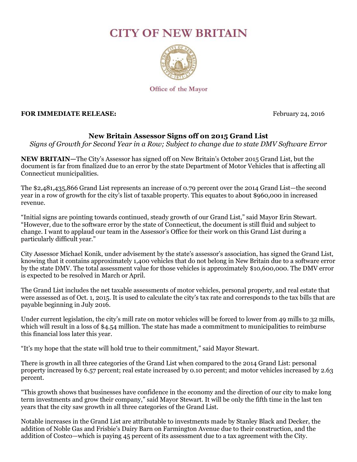## **CITY OF NEW BRITAIN**



Office of the Mayor

## **FOR IMMEDIATE RELEASE:** February 24, 2016

## **New Britain Assessor Signs off on 2015 Grand List**

*Signs of Growth for Second Year in a Row; Subject to change due to state DMV Software Error*

**NEW BRITAIN—**The City's Assessor has signed off on New Britain's October 2015 Grand List, but the document is far from finalized due to an error by the state Department of Motor Vehicles that is affecting all Connecticut municipalities.

The \$2,481,435,866 Grand List represents an increase of 0.79 percent over the 2014 Grand List—the second year in a row of growth for the city's list of taxable property. This equates to about \$960,000 in increased revenue.

"Initial signs are pointing towards continued, steady growth of our Grand List," said Mayor Erin Stewart. "However, due to the software error by the state of Connecticut, the document is still fluid and subject to change. I want to applaud our team in the Assessor's Office for their work on this Grand List during a particularly difficult year."

City Assessor Michael Konik, under advisement by the state's assessor's association, has signed the Grand List, knowing that it contains approximately 1,400 vehicles that do not belong in New Britain due to a software error by the state DMV. The total assessment value for those vehicles is approximately \$10,600,000. The DMV error is expected to be resolved in March or April.

The Grand List includes the net taxable assessments of motor vehicles, personal property, and real estate that were assessed as of Oct. 1, 2015. It is used to calculate the city's tax rate and corresponds to the tax bills that are payable beginning in July 2016.

Under current legislation, the city's mill rate on motor vehicles will be forced to lower from 49 mills to 32 mills, which will result in a loss of \$4.54 million. The state has made a commitment to municipalities to reimburse this financial loss later this year.

"It's my hope that the state will hold true to their commitment," said Mayor Stewart.

There is growth in all three categories of the Grand List when compared to the 2014 Grand List: personal property increased by 6.57 percent; real estate increased by 0.10 percent; and motor vehicles increased by 2.63 percent.

"This growth shows that businesses have confidence in the economy and the direction of our city to make long term investments and grow their company," said Mayor Stewart. It will be only the fifth time in the last ten years that the city saw growth in all three categories of the Grand List.

Notable increases in the Grand List are attributable to investments made by Stanley Black and Decker, the addition of Noble Gas and Frisbie's Dairy Barn on Farmington Avenue due to their construction, and the addition of Costco—which is paying 45 percent of its assessment due to a tax agreement with the City.